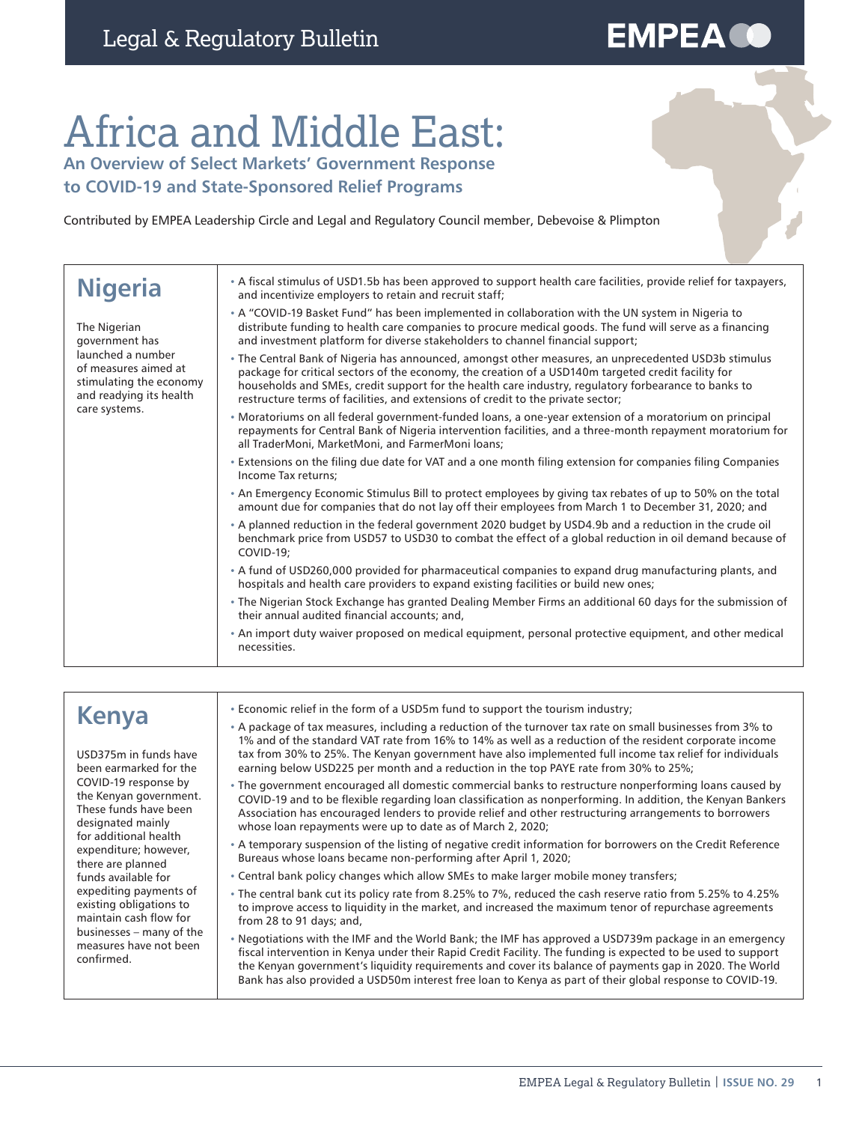# **EMPEA CO**

# Africa and Middle East:

**An Overview of Select Markets' Government Response to COVID-19 and State-Sponsored Relief Programs**

Contributed by EMPEA Leadership Circle and Legal and Regulatory Council member, Debevoise & Plimpton

| <b>Nigeria</b>                                                                                                                                     | • A fiscal stimulus of USD1.5b has been approved to support health care facilities, provide relief for taxpayers,<br>and incentivize employers to retain and recruit staff;                                                                                                                                                                                                                             |
|----------------------------------------------------------------------------------------------------------------------------------------------------|---------------------------------------------------------------------------------------------------------------------------------------------------------------------------------------------------------------------------------------------------------------------------------------------------------------------------------------------------------------------------------------------------------|
| The Nigerian<br>government has<br>launched a number<br>of measures aimed at<br>stimulating the economy<br>and readying its health<br>care systems. | • A "COVID-19 Basket Fund" has been implemented in collaboration with the UN system in Nigeria to<br>distribute funding to health care companies to procure medical goods. The fund will serve as a financing<br>and investment platform for diverse stakeholders to channel financial support;                                                                                                         |
|                                                                                                                                                    | . The Central Bank of Nigeria has announced, amongst other measures, an unprecedented USD3b stimulus<br>package for critical sectors of the economy, the creation of a USD140m targeted credit facility for<br>households and SMEs, credit support for the health care industry, regulatory forbearance to banks to<br>restructure terms of facilities, and extensions of credit to the private sector; |
|                                                                                                                                                    | Moratoriums on all federal government-funded loans, a one-year extension of a moratorium on principal<br>repayments for Central Bank of Nigeria intervention facilities, and a three-month repayment moratorium for<br>all TraderMoni, MarketMoni, and FarmerMoni loans;                                                                                                                                |
|                                                                                                                                                    | • Extensions on the filing due date for VAT and a one month filing extension for companies filing Companies<br>Income Tax returns:                                                                                                                                                                                                                                                                      |
|                                                                                                                                                    | • An Emergency Economic Stimulus Bill to protect employees by giving tax rebates of up to 50% on the total<br>amount due for companies that do not lay off their employees from March 1 to December 31, 2020; and                                                                                                                                                                                       |
|                                                                                                                                                    | • A planned reduction in the federal government 2020 budget by USD4.9b and a reduction in the crude oil<br>benchmark price from USD57 to USD30 to combat the effect of a global reduction in oil demand because of<br><b>COVID-19:</b>                                                                                                                                                                  |
|                                                                                                                                                    | A fund of USD260,000 provided for pharmaceutical companies to expand drug manufacturing plants, and<br>hospitals and health care providers to expand existing facilities or build new ones;                                                                                                                                                                                                             |
|                                                                                                                                                    | • The Nigerian Stock Exchange has granted Dealing Member Firms an additional 60 days for the submission of<br>their annual audited financial accounts; and,                                                                                                                                                                                                                                             |
|                                                                                                                                                    | • An import duty waiver proposed on medical equipment, personal protective equipment, and other medical<br>necessities.                                                                                                                                                                                                                                                                                 |
|                                                                                                                                                    |                                                                                                                                                                                                                                                                                                                                                                                                         |

| <b>Kenya</b><br>USD375m in funds have<br>been earmarked for the<br>COVID-19 response by<br>the Kenyan government.<br>These funds have been<br>designated mainly<br>for additional health<br>expenditure; however,<br>there are planned<br>funds available for<br>expediting payments of<br>existing obligations to<br>maintain cash flow for<br>businesses – many of the<br>measures have not been<br>confirmed. | • Economic relief in the form of a USD5m fund to support the tourism industry;                                                                                                                                                                                                                                                                                                                                                                  |
|------------------------------------------------------------------------------------------------------------------------------------------------------------------------------------------------------------------------------------------------------------------------------------------------------------------------------------------------------------------------------------------------------------------|-------------------------------------------------------------------------------------------------------------------------------------------------------------------------------------------------------------------------------------------------------------------------------------------------------------------------------------------------------------------------------------------------------------------------------------------------|
|                                                                                                                                                                                                                                                                                                                                                                                                                  | • A package of tax measures, including a reduction of the turnover tax rate on small businesses from 3% to<br>1% and of the standard VAT rate from 16% to 14% as well as a reduction of the resident corporate income<br>tax from 30% to 25%. The Kenyan government have also implemented full income tax relief for individuals<br>earning below USD225 per month and a reduction in the top PAYE rate from 30% to 25%;                        |
|                                                                                                                                                                                                                                                                                                                                                                                                                  | • The government encouraged all domestic commercial banks to restructure nonperforming loans caused by<br>COVID-19 and to be flexible regarding loan classification as nonperforming. In addition, the Kenyan Bankers<br>Association has encouraged lenders to provide relief and other restructuring arrangements to borrowers<br>whose loan repayments were up to date as of March 2, 2020;                                                   |
|                                                                                                                                                                                                                                                                                                                                                                                                                  | • A temporary suspension of the listing of negative credit information for borrowers on the Credit Reference<br>Bureaus whose loans became non-performing after April 1, 2020;                                                                                                                                                                                                                                                                  |
|                                                                                                                                                                                                                                                                                                                                                                                                                  | . Central bank policy changes which allow SMEs to make larger mobile money transfers;                                                                                                                                                                                                                                                                                                                                                           |
|                                                                                                                                                                                                                                                                                                                                                                                                                  | • The central bank cut its policy rate from 8.25% to 7%, reduced the cash reserve ratio from 5.25% to 4.25%<br>to improve access to liquidity in the market, and increased the maximum tenor of repurchase agreements<br>from 28 to 91 days; and,                                                                                                                                                                                               |
|                                                                                                                                                                                                                                                                                                                                                                                                                  | . Negotiations with the IMF and the World Bank; the IMF has approved a USD739m package in an emergency<br>fiscal intervention in Kenya under their Rapid Credit Facility. The funding is expected to be used to support<br>the Kenyan government's liquidity requirements and cover its balance of payments gap in 2020. The World<br>Bank has also provided a USD50m interest free loan to Kenya as part of their global response to COVID-19. |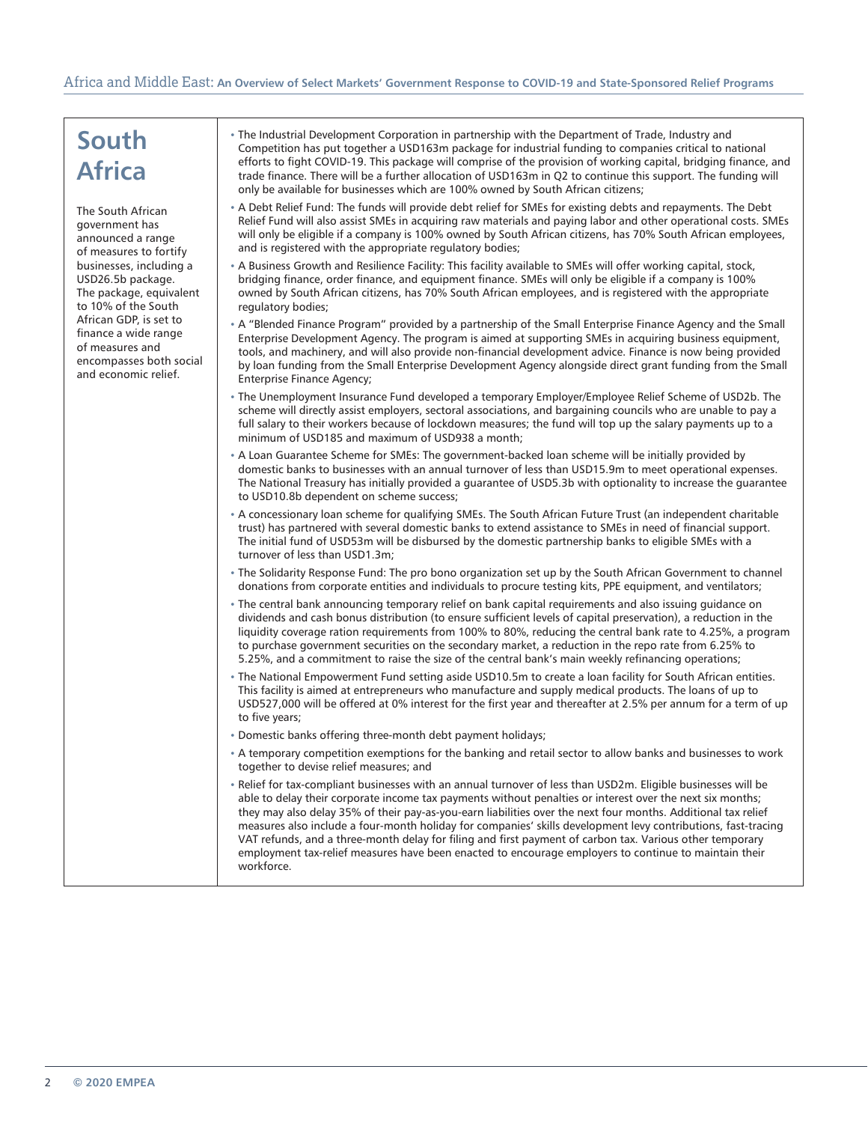### Africa and Middle East: **An Overview of Select Markets' Government Response to COVID-19 and State-Sponsored Relief Programs**

| South<br><b>Africa</b>                                                                                                                                                                                                                                                                                       | • The Industrial Development Corporation in partnership with the Department of Trade, Industry and<br>Competition has put together a USD163m package for industrial funding to companies critical to national                                                                                                                                                                                                                                                                                                                                                                                                                                                                                   |
|--------------------------------------------------------------------------------------------------------------------------------------------------------------------------------------------------------------------------------------------------------------------------------------------------------------|-------------------------------------------------------------------------------------------------------------------------------------------------------------------------------------------------------------------------------------------------------------------------------------------------------------------------------------------------------------------------------------------------------------------------------------------------------------------------------------------------------------------------------------------------------------------------------------------------------------------------------------------------------------------------------------------------|
|                                                                                                                                                                                                                                                                                                              | efforts to fight COVID-19. This package will comprise of the provision of working capital, bridging finance, and<br>trade finance. There will be a further allocation of USD163m in Q2 to continue this support. The funding will<br>only be available for businesses which are 100% owned by South African citizens;                                                                                                                                                                                                                                                                                                                                                                           |
| The South African<br>government has<br>announced a range<br>of measures to fortify<br>businesses, including a<br>USD26.5b package.<br>The package, equivalent<br>to 10% of the South<br>African GDP, is set to<br>finance a wide range<br>of measures and<br>encompasses both social<br>and economic relief. | . A Debt Relief Fund: The funds will provide debt relief for SMEs for existing debts and repayments. The Debt<br>Relief Fund will also assist SMEs in acquiring raw materials and paying labor and other operational costs. SMEs<br>will only be eligible if a company is 100% owned by South African citizens, has 70% South African employees,<br>and is registered with the appropriate regulatory bodies;                                                                                                                                                                                                                                                                                   |
|                                                                                                                                                                                                                                                                                                              | . A Business Growth and Resilience Facility: This facility available to SMEs will offer working capital, stock,<br>bridging finance, order finance, and equipment finance. SMEs will only be eligible if a company is 100%<br>owned by South African citizens, has 70% South African employees, and is registered with the appropriate<br>regulatory bodies;                                                                                                                                                                                                                                                                                                                                    |
|                                                                                                                                                                                                                                                                                                              | • A "Blended Finance Program" provided by a partnership of the Small Enterprise Finance Agency and the Small<br>Enterprise Development Agency. The program is aimed at supporting SMEs in acquiring business equipment,<br>tools, and machinery, and will also provide non-financial development advice. Finance is now being provided<br>by loan funding from the Small Enterprise Development Agency alongside direct grant funding from the Small<br><b>Enterprise Finance Agency;</b>                                                                                                                                                                                                       |
|                                                                                                                                                                                                                                                                                                              | The Unemployment Insurance Fund developed a temporary Employer/Employee Relief Scheme of USD2b. The<br>scheme will directly assist employers, sectoral associations, and bargaining councils who are unable to pay a<br>full salary to their workers because of lockdown measures; the fund will top up the salary payments up to a<br>minimum of USD185 and maximum of USD938 a month:                                                                                                                                                                                                                                                                                                         |
|                                                                                                                                                                                                                                                                                                              | A Loan Guarantee Scheme for SMEs: The government-backed loan scheme will be initially provided by<br>domestic banks to businesses with an annual turnover of less than USD15.9m to meet operational expenses.<br>The National Treasury has initially provided a quarantee of USD5.3b with optionality to increase the quarantee<br>to USD10.8b dependent on scheme success;                                                                                                                                                                                                                                                                                                                     |
|                                                                                                                                                                                                                                                                                                              | • A concessionary loan scheme for qualifying SMEs. The South African Future Trust (an independent charitable<br>trust) has partnered with several domestic banks to extend assistance to SMEs in need of financial support.<br>The initial fund of USD53m will be disbursed by the domestic partnership banks to eligible SMEs with a<br>turnover of less than USD1.3m;                                                                                                                                                                                                                                                                                                                         |
|                                                                                                                                                                                                                                                                                                              | • The Solidarity Response Fund: The pro bono organization set up by the South African Government to channel<br>donations from corporate entities and individuals to procure testing kits, PPE equipment, and ventilators;                                                                                                                                                                                                                                                                                                                                                                                                                                                                       |
|                                                                                                                                                                                                                                                                                                              | . The central bank announcing temporary relief on bank capital requirements and also issuing guidance on<br>dividends and cash bonus distribution (to ensure sufficient levels of capital preservation), a reduction in the<br>liquidity coverage ration requirements from 100% to 80%, reducing the central bank rate to 4.25%, a program<br>to purchase government securities on the secondary market, a reduction in the repo rate from 6.25% to<br>5.25%, and a commitment to raise the size of the central bank's main weekly refinancing operations;                                                                                                                                      |
|                                                                                                                                                                                                                                                                                                              | . The National Empowerment Fund setting aside USD10.5m to create a loan facility for South African entities.<br>This facility is aimed at entrepreneurs who manufacture and supply medical products. The loans of up to<br>USD527,000 will be offered at 0% interest for the first year and thereafter at 2.5% per annum for a term of up<br>to five years;                                                                                                                                                                                                                                                                                                                                     |
|                                                                                                                                                                                                                                                                                                              | · Domestic banks offering three-month debt payment holidays;                                                                                                                                                                                                                                                                                                                                                                                                                                                                                                                                                                                                                                    |
|                                                                                                                                                                                                                                                                                                              | • A temporary competition exemptions for the banking and retail sector to allow banks and businesses to work<br>together to devise relief measures; and                                                                                                                                                                                                                                                                                                                                                                                                                                                                                                                                         |
|                                                                                                                                                                                                                                                                                                              | . Relief for tax-compliant businesses with an annual turnover of less than USD2m. Eligible businesses will be<br>able to delay their corporate income tax payments without penalties or interest over the next six months;<br>they may also delay 35% of their pay-as-you-earn liabilities over the next four months. Additional tax relief<br>measures also include a four-month holiday for companies' skills development levy contributions, fast-tracing<br>VAT refunds, and a three-month delay for filing and first payment of carbon tax. Various other temporary<br>employment tax-relief measures have been enacted to encourage employers to continue to maintain their<br>workforce. |
|                                                                                                                                                                                                                                                                                                              |                                                                                                                                                                                                                                                                                                                                                                                                                                                                                                                                                                                                                                                                                                 |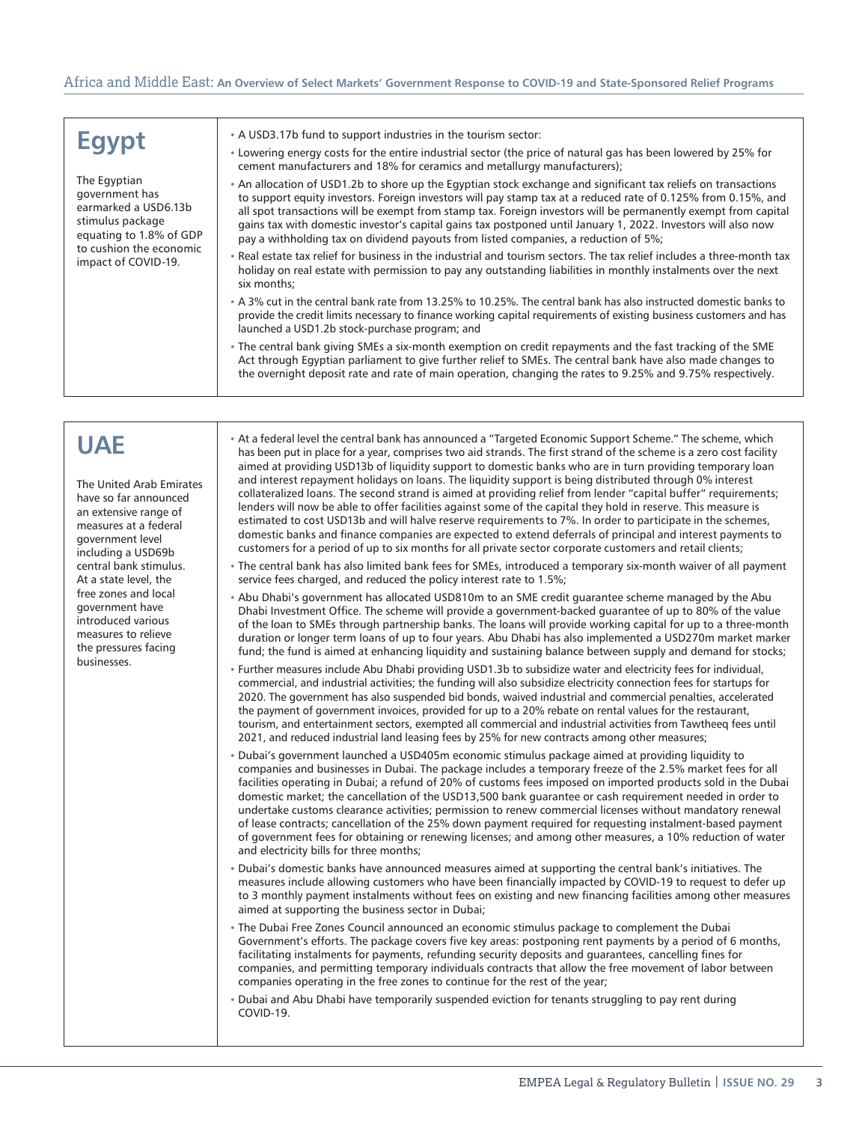#### Africa and Middle East: **An Overview of Select Markets' Government Response to COVID-19 and State-Sponsored Relief Programs**

| <b>Egypt</b><br>The Egyptian<br>government has<br>earmarked a USD6.13b<br>stimulus package<br>equating to 1.8% of GDP<br>to cushion the economic<br>impact of COVID-19.                                                                                                                                                                       | • A USD3.17b fund to support industries in the tourism sector:<br>• Lowering energy costs for the entire industrial sector (the price of natural gas has been lowered by 25% for<br>cement manufacturers and 18% for ceramics and metallurgy manufacturers);<br>• An allocation of USD1.2b to shore up the Egyptian stock exchange and significant tax reliefs on transactions<br>to support equity investors. Foreign investors will pay stamp tax at a reduced rate of 0.125% from 0.15%, and<br>all spot transactions will be exempt from stamp tax. Foreign investors will be permanently exempt from capital<br>gains tax with domestic investor's capital gains tax postponed until January 1, 2022. Investors will also now<br>pay a withholding tax on dividend payouts from listed companies, a reduction of 5%;<br>. Real estate tax relief for business in the industrial and tourism sectors. The tax relief includes a three-month tax<br>holiday on real estate with permission to pay any outstanding liabilities in monthly instalments over the next<br>six months;<br>• A 3% cut in the central bank rate from 13.25% to 10.25%. The central bank has also instructed domestic banks to<br>provide the credit limits necessary to finance working capital requirements of existing business customers and has<br>launched a USD1.2b stock-purchase program; and<br>. The central bank giving SMEs a six-month exemption on credit repayments and the fast tracking of the SME<br>Act through Egyptian parliament to give further relief to SMEs. The central bank have also made changes to<br>the overnight deposit rate and rate of main operation, changing the rates to 9.25% and 9.75% respectively.                                                                                                                                                                                                                                                                                                                                                                                                                                                                                                                                                                                                                                                                                                                                                                                                                                                                                                                                                                                                                                                                                                                                                                                                                                                                                                                                                                                                                                                                                                                                                                                                                                                                                                                                                                                                                                                                                                                                          |
|-----------------------------------------------------------------------------------------------------------------------------------------------------------------------------------------------------------------------------------------------------------------------------------------------------------------------------------------------|----------------------------------------------------------------------------------------------------------------------------------------------------------------------------------------------------------------------------------------------------------------------------------------------------------------------------------------------------------------------------------------------------------------------------------------------------------------------------------------------------------------------------------------------------------------------------------------------------------------------------------------------------------------------------------------------------------------------------------------------------------------------------------------------------------------------------------------------------------------------------------------------------------------------------------------------------------------------------------------------------------------------------------------------------------------------------------------------------------------------------------------------------------------------------------------------------------------------------------------------------------------------------------------------------------------------------------------------------------------------------------------------------------------------------------------------------------------------------------------------------------------------------------------------------------------------------------------------------------------------------------------------------------------------------------------------------------------------------------------------------------------------------------------------------------------------------------------------------------------------------------------------------------------------------------------------------------------------------------------------------------------------------------------------------------------------------------------------------------------------------------------------------------------------------------------------------------------------------------------------------------------------------------------------------------------------------------------------------------------------------------------------------------------------------------------------------------------------------------------------------------------------------------------------------------------------------------------------------------------------------------------------------------------------------------------------------------------------------------------------------------------------------------------------------------------------------------------------------------------------------------------------------------------------------------------------------------------------------------------------------------------------------------------------------------------------------------------------------------------------------------------------------------------------------------------------------------------------------------------------------------------------------------------------------------------------------------------------------------------------------------------------------------------------------------------------------------------------------------------------------------------------------------------------------------------------------------------------------------------------------------------------------------------------|
|                                                                                                                                                                                                                                                                                                                                               |                                                                                                                                                                                                                                                                                                                                                                                                                                                                                                                                                                                                                                                                                                                                                                                                                                                                                                                                                                                                                                                                                                                                                                                                                                                                                                                                                                                                                                                                                                                                                                                                                                                                                                                                                                                                                                                                                                                                                                                                                                                                                                                                                                                                                                                                                                                                                                                                                                                                                                                                                                                                                                                                                                                                                                                                                                                                                                                                                                                                                                                                                                                                                                                                                                                                                                                                                                                                                                                                                                                                                                                                                                                                      |
| <b>UAE</b><br>The United Arab Emirates<br>have so far announced<br>an extensive range of<br>measures at a federal<br>government level<br>including a USD69b<br>central bank stimulus.<br>At a state level, the<br>free zones and local<br>government have<br>introduced various<br>measures to relieve<br>the pressures facing<br>businesses. | • At a federal level the central bank has announced a "Targeted Economic Support Scheme." The scheme, which<br>has been put in place for a year, comprises two aid strands. The first strand of the scheme is a zero cost facility<br>aimed at providing USD13b of liquidity support to domestic banks who are in turn providing temporary loan<br>and interest repayment holidays on loans. The liquidity support is being distributed through 0% interest<br>collateralized loans. The second strand is aimed at providing relief from lender "capital buffer" requirements;<br>lenders will now be able to offer facilities against some of the capital they hold in reserve. This measure is<br>estimated to cost USD13b and will halve reserve requirements to 7%. In order to participate in the schemes,<br>domestic banks and finance companies are expected to extend deferrals of principal and interest payments to<br>customers for a period of up to six months for all private sector corporate customers and retail clients;<br>. The central bank has also limited bank fees for SMEs, introduced a temporary six-month waiver of all payment<br>service fees charged, and reduced the policy interest rate to 1.5%;<br>. Abu Dhabi's government has allocated USD810m to an SME credit guarantee scheme managed by the Abu<br>Dhabi Investment Office. The scheme will provide a government-backed guarantee of up to 80% of the value<br>of the loan to SMEs through partnership banks. The loans will provide working capital for up to a three-month<br>duration or longer term loans of up to four years. Abu Dhabi has also implemented a USD270m market marker<br>fund; the fund is aimed at enhancing liquidity and sustaining balance between supply and demand for stocks;<br>• Further measures include Abu Dhabi providing USD1.3b to subsidize water and electricity fees for individual,<br>commercial, and industrial activities; the funding will also subsidize electricity connection fees for startups for<br>2020. The government has also suspended bid bonds, waived industrial and commercial penalties, accelerated<br>the payment of government invoices, provided for up to a 20% rebate on rental values for the restaurant,<br>tourism, and entertainment sectors, exempted all commercial and industrial activities from Tawtheeq fees until<br>2021, and reduced industrial land leasing fees by 25% for new contracts among other measures;<br>. Dubai's government launched a USD405m economic stimulus package aimed at providing liquidity to<br>companies and businesses in Dubai. The package includes a temporary freeze of the 2.5% market fees for all<br>facilities operating in Dubai; a refund of 20% of customs fees imposed on imported products sold in the Dubai<br>domestic market; the cancellation of the USD13,500 bank guarantee or cash requirement needed in order to<br>undertake customs clearance activities; permission to renew commercial licenses without mandatory renewal<br>of lease contracts; cancellation of the 25% down payment required for requesting instalment-based payment<br>of government fees for obtaining or renewing licenses; and among other measures, a 10% reduction of water<br>and electricity bills for three months;<br>. Dubai's domestic banks have announced measures aimed at supporting the central bank's initiatives. The<br>measures include allowing customers who have been financially impacted by COVID-19 to request to defer up<br>to 3 monthly payment instalments without fees on existing and new financing facilities among other measures |

- The Dubai Free Zones Council announced an economic stimulus package to complement the Dubai Government's efforts. The package covers five key areas: postponing rent payments by a period of 6 months, facilitating instalments for payments, refunding security deposits and guarantees, cancelling fines for companies, and permitting temporary individuals contracts that allow the free movement of labor between companies operating in the free zones to continue for the rest of the year;
- Dubai and Abu Dhabi have temporarily suspended eviction for tenants struggling to pay rent during COVID-19.

aimed at supporting the business sector in Dubai;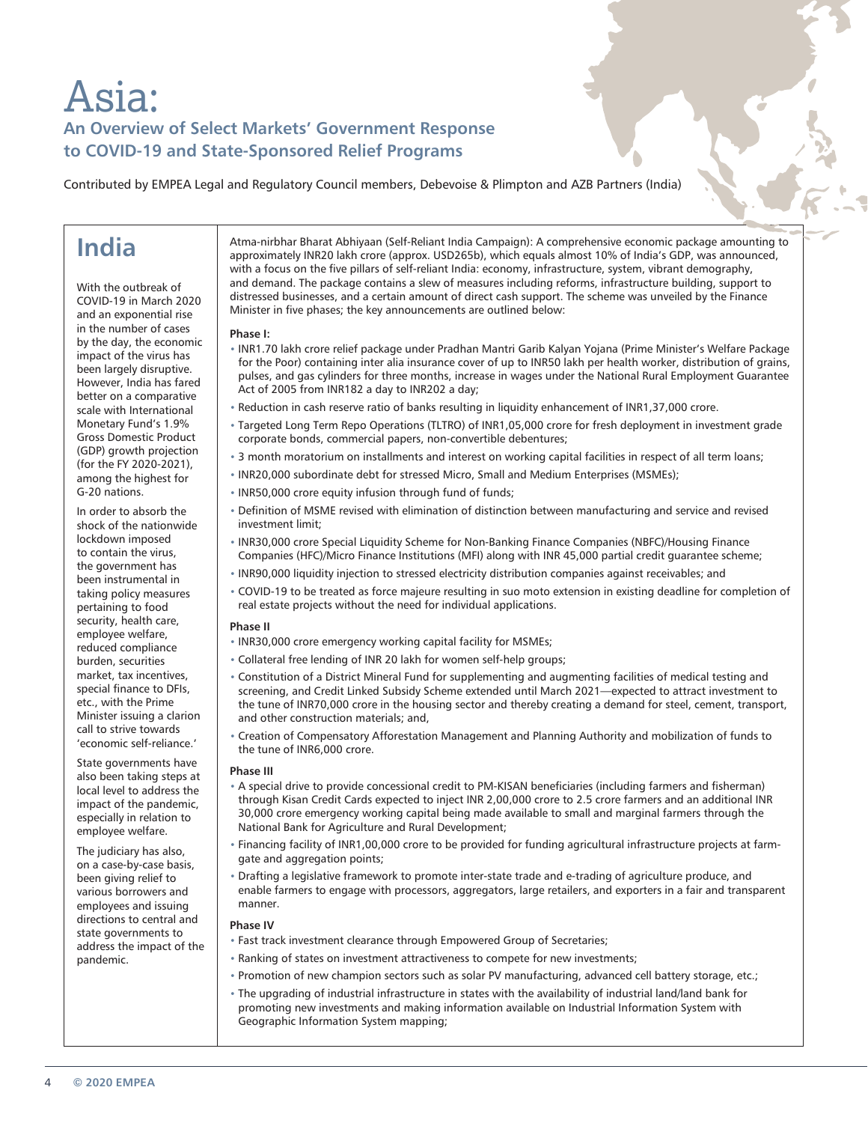# Asia: **An Overview of Select Markets' Government Response to COVID-19 and State-Sponsored Relief Programs**

Contributed by EMPEA Legal and Regulatory Council members, Debevoise & Plimpton and AZB Partners (India)

## **India**

With the outbreak of COVID-19 in March 2020 and an exponential rise in the number of cases by the day, the economic impact of the virus has been largely disruptive. However, India has fared better on a comparative scale with International Monetary Fund's 1.9% Gross Domestic Product (GDP) growth projection (for the FY 2020-2021), among the highest for G-20 nations.

In order to absorb the shock of the nationwide lockdown imposed to contain the virus, the government has been instrumental in taking policy measures pertaining to food security, health care, employee welfare, reduced compliance burden, securities market, tax incentives, special finance to DFIs, etc., with the Prime Minister issuing a clarion call to strive towards 'economic self-reliance.'

State governments have also been taking steps at local level to address the impact of the pandemic, especially in relation to employee welfare.

The judiciary has also, on a case-by-case basis, been giving relief to various borrowers and employees and issuing directions to central and state governments to address the impact of the pandemic.

Atma-nirbhar Bharat Abhiyaan (Self-Reliant India Campaign): A comprehensive economic package amounting to approximately INR20 lakh crore (approx. USD265b), which equals almost 10% of India's GDP, was announced, with a focus on the five pillars of self-reliant India: economy, infrastructure, system, vibrant demography, and demand. The package contains a slew of measures including reforms, infrastructure building, support to distressed businesses, and a certain amount of direct cash support. The scheme was unveiled by the Finance Minister in five phases; the key announcements are outlined below:

#### **Phase I:**

- INR1.70 lakh crore relief package under Pradhan Mantri Garib Kalyan Yojana (Prime Minister's Welfare Package for the Poor) containing inter alia insurance cover of up to INR50 lakh per health worker, distribution of grains, pulses, and gas cylinders for three months, increase in wages under the National Rural Employment Guarantee Act of 2005 from INR182 a day to INR202 a day;
- Reduction in cash reserve ratio of banks resulting in liquidity enhancement of INR1,37,000 crore.
- Targeted Long Term Repo Operations (TLTRO) of INR1,05,000 crore for fresh deployment in investment grade corporate bonds, commercial papers, non-convertible debentures;
- 3 month moratorium on installments and interest on working capital facilities in respect of all term loans;
- INR20,000 subordinate debt for stressed Micro, Small and Medium Enterprises (MSMEs);
- INR50,000 crore equity infusion through fund of funds;
- Definition of MSME revised with elimination of distinction between manufacturing and service and revised investment limit;
- INR30,000 crore Special Liquidity Scheme for Non-Banking Finance Companies (NBFC)/Housing Finance Companies (HFC)/Micro Finance Institutions (MFI) along with INR 45,000 partial credit guarantee scheme;
- INR90,000 liquidity injection to stressed electricity distribution companies against receivables; and
- COVID-19 to be treated as force majeure resulting in suo moto extension in existing deadline for completion of real estate projects without the need for individual applications.

#### **Phase II**

- INR30,000 crore emergency working capital facility for MSMEs;
- Collateral free lending of INR 20 lakh for women self-help groups;
- Constitution of a District Mineral Fund for supplementing and augmenting facilities of medical testing and screening, and Credit Linked Subsidy Scheme extended until March 2021—expected to attract investment to the tune of INR70,000 crore in the housing sector and thereby creating a demand for steel, cement, transport, and other construction materials; and,
- Creation of Compensatory Afforestation Management and Planning Authority and mobilization of funds to the tune of INR6,000 crore.

#### **Phase III**

- A special drive to provide concessional credit to PM-KISAN beneficiaries (including farmers and fisherman) through Kisan Credit Cards expected to inject INR 2,00,000 crore to 2.5 crore farmers and an additional INR 30,000 crore emergency working capital being made available to small and marginal farmers through the National Bank for Agriculture and Rural Development;
- Financing facility of INR1,00,000 crore to be provided for funding agricultural infrastructure projects at farmgate and aggregation points;
- Drafting a legislative framework to promote inter-state trade and e-trading of agriculture produce, and enable farmers to engage with processors, aggregators, large retailers, and exporters in a fair and transparent manner.

#### **Phase IV**

- Fast track investment clearance through Empowered Group of Secretaries;
- Ranking of states on investment attractiveness to compete for new investments;
- Promotion of new champion sectors such as solar PV manufacturing, advanced cell battery storage, etc.;
	- The upgrading of industrial infrastructure in states with the availability of industrial land/land bank for promoting new investments and making information available on Industrial Information System with Geographic Information System mapping;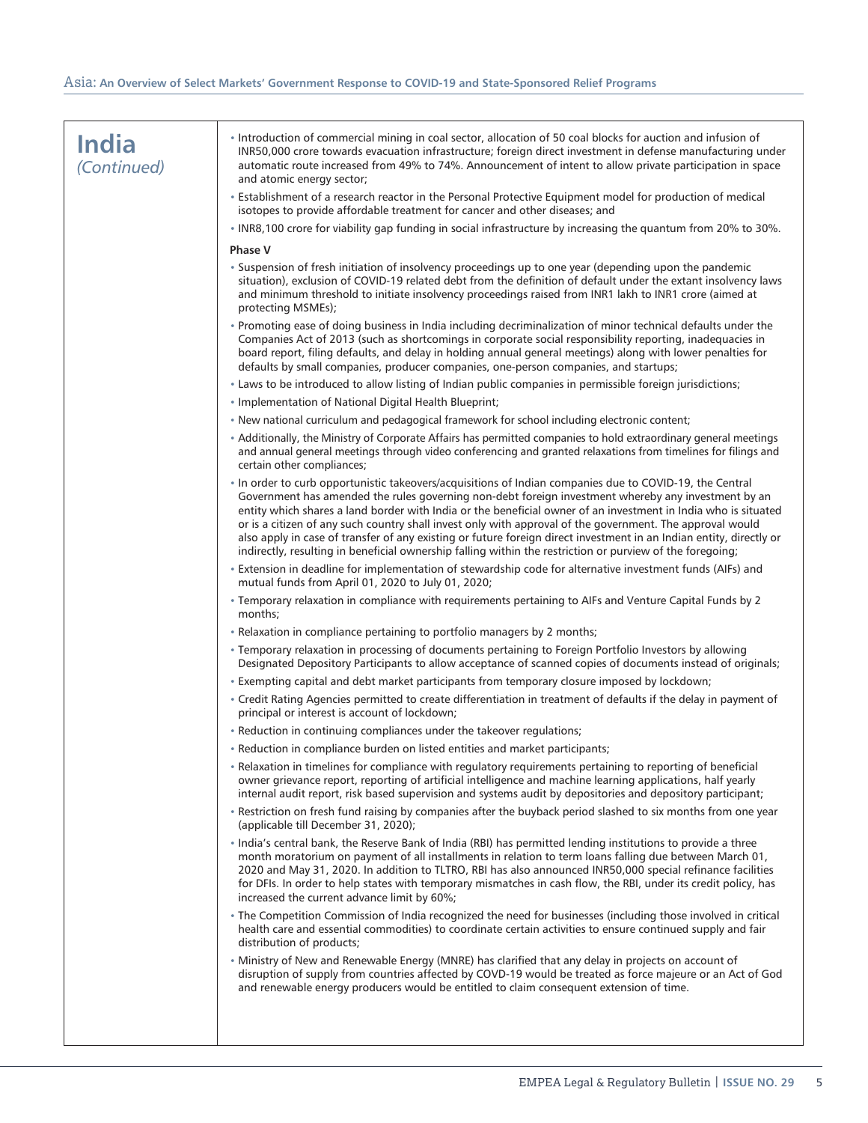| <b>India</b><br>(Continued) | Introduction of commercial mining in coal sector, allocation of 50 coal blocks for auction and infusion of<br>INR50,000 crore towards evacuation infrastructure; foreign direct investment in defense manufacturing under<br>automatic route increased from 49% to 74%. Announcement of intent to allow private participation in space<br>and atomic energy sector;                                                                                                                                                                                                                                                                                                              |
|-----------------------------|----------------------------------------------------------------------------------------------------------------------------------------------------------------------------------------------------------------------------------------------------------------------------------------------------------------------------------------------------------------------------------------------------------------------------------------------------------------------------------------------------------------------------------------------------------------------------------------------------------------------------------------------------------------------------------|
|                             | • Establishment of a research reactor in the Personal Protective Equipment model for production of medical<br>isotopes to provide affordable treatment for cancer and other diseases; and                                                                                                                                                                                                                                                                                                                                                                                                                                                                                        |
|                             | . INR8,100 crore for viability gap funding in social infrastructure by increasing the quantum from 20% to 30%.                                                                                                                                                                                                                                                                                                                                                                                                                                                                                                                                                                   |
|                             | <b>Phase V</b>                                                                                                                                                                                                                                                                                                                                                                                                                                                                                                                                                                                                                                                                   |
|                             | . Suspension of fresh initiation of insolvency proceedings up to one year (depending upon the pandemic<br>situation), exclusion of COVID-19 related debt from the definition of default under the extant insolvency laws<br>and minimum threshold to initiate insolvency proceedings raised from INR1 lakh to INR1 crore (aimed at<br>protecting MSMEs);                                                                                                                                                                                                                                                                                                                         |
|                             | . Promoting ease of doing business in India including decriminalization of minor technical defaults under the<br>Companies Act of 2013 (such as shortcomings in corporate social responsibility reporting, inadequacies in<br>board report, filing defaults, and delay in holding annual general meetings) along with lower penalties for<br>defaults by small companies, producer companies, one-person companies, and startups;                                                                                                                                                                                                                                                |
|                             | • Laws to be introduced to allow listing of Indian public companies in permissible foreign jurisdictions;                                                                                                                                                                                                                                                                                                                                                                                                                                                                                                                                                                        |
|                             | . Implementation of National Digital Health Blueprint;                                                                                                                                                                                                                                                                                                                                                                                                                                                                                                                                                                                                                           |
|                             | • New national curriculum and pedagogical framework for school including electronic content;                                                                                                                                                                                                                                                                                                                                                                                                                                                                                                                                                                                     |
|                             | • Additionally, the Ministry of Corporate Affairs has permitted companies to hold extraordinary general meetings<br>and annual general meetings through video conferencing and granted relaxations from timelines for filings and<br>certain other compliances;                                                                                                                                                                                                                                                                                                                                                                                                                  |
|                             | In order to curb opportunistic takeovers/acquisitions of Indian companies due to COVID-19, the Central<br>Government has amended the rules governing non-debt foreign investment whereby any investment by an<br>entity which shares a land border with India or the beneficial owner of an investment in India who is situated<br>or is a citizen of any such country shall invest only with approval of the government. The approval would<br>also apply in case of transfer of any existing or future foreign direct investment in an Indian entity, directly or<br>indirectly, resulting in beneficial ownership falling within the restriction or purview of the foregoing; |
|                             | . Extension in deadline for implementation of stewardship code for alternative investment funds (AIFs) and<br>mutual funds from April 01, 2020 to July 01, 2020;                                                                                                                                                                                                                                                                                                                                                                                                                                                                                                                 |
|                             | * Temporary relaxation in compliance with requirements pertaining to AIFs and Venture Capital Funds by 2<br>months;                                                                                                                                                                                                                                                                                                                                                                                                                                                                                                                                                              |
|                             | • Relaxation in compliance pertaining to portfolio managers by 2 months;                                                                                                                                                                                                                                                                                                                                                                                                                                                                                                                                                                                                         |
|                             | • Temporary relaxation in processing of documents pertaining to Foreign Portfolio Investors by allowing<br>Designated Depository Participants to allow acceptance of scanned copies of documents instead of originals;                                                                                                                                                                                                                                                                                                                                                                                                                                                           |
|                             | . Exempting capital and debt market participants from temporary closure imposed by lockdown;                                                                                                                                                                                                                                                                                                                                                                                                                                                                                                                                                                                     |
|                             | • Credit Rating Agencies permitted to create differentiation in treatment of defaults if the delay in payment of<br>principal or interest is account of lockdown;                                                                                                                                                                                                                                                                                                                                                                                                                                                                                                                |
|                             | • Reduction in continuing compliances under the takeover regulations;                                                                                                                                                                                                                                                                                                                                                                                                                                                                                                                                                                                                            |
|                             | Reduction in compliance burden on listed entities and market participants;                                                                                                                                                                                                                                                                                                                                                                                                                                                                                                                                                                                                       |
|                             | . Relaxation in timelines for compliance with regulatory requirements pertaining to reporting of beneficial<br>owner grievance report, reporting of artificial intelligence and machine learning applications, half yearly<br>internal audit report, risk based supervision and systems audit by depositories and depository participant;                                                                                                                                                                                                                                                                                                                                        |
|                             | • Restriction on fresh fund raising by companies after the buyback period slashed to six months from one year<br>(applicable till December 31, 2020);                                                                                                                                                                                                                                                                                                                                                                                                                                                                                                                            |
|                             | . India's central bank, the Reserve Bank of India (RBI) has permitted lending institutions to provide a three<br>month moratorium on payment of all installments in relation to term loans falling due between March 01,<br>2020 and May 31, 2020. In addition to TLTRO, RBI has also announced INR50,000 special refinance facilities<br>for DFIs. In order to help states with temporary mismatches in cash flow, the RBI, under its credit policy, has<br>increased the current advance limit by 60%;                                                                                                                                                                         |
|                             | • The Competition Commission of India recognized the need for businesses (including those involved in critical<br>health care and essential commodities) to coordinate certain activities to ensure continued supply and fair<br>distribution of products;                                                                                                                                                                                                                                                                                                                                                                                                                       |
|                             | . Ministry of New and Renewable Energy (MNRE) has clarified that any delay in projects on account of<br>disruption of supply from countries affected by COVD-19 would be treated as force majeure or an Act of God<br>and renewable energy producers would be entitled to claim consequent extension of time.                                                                                                                                                                                                                                                                                                                                                                    |
|                             |                                                                                                                                                                                                                                                                                                                                                                                                                                                                                                                                                                                                                                                                                  |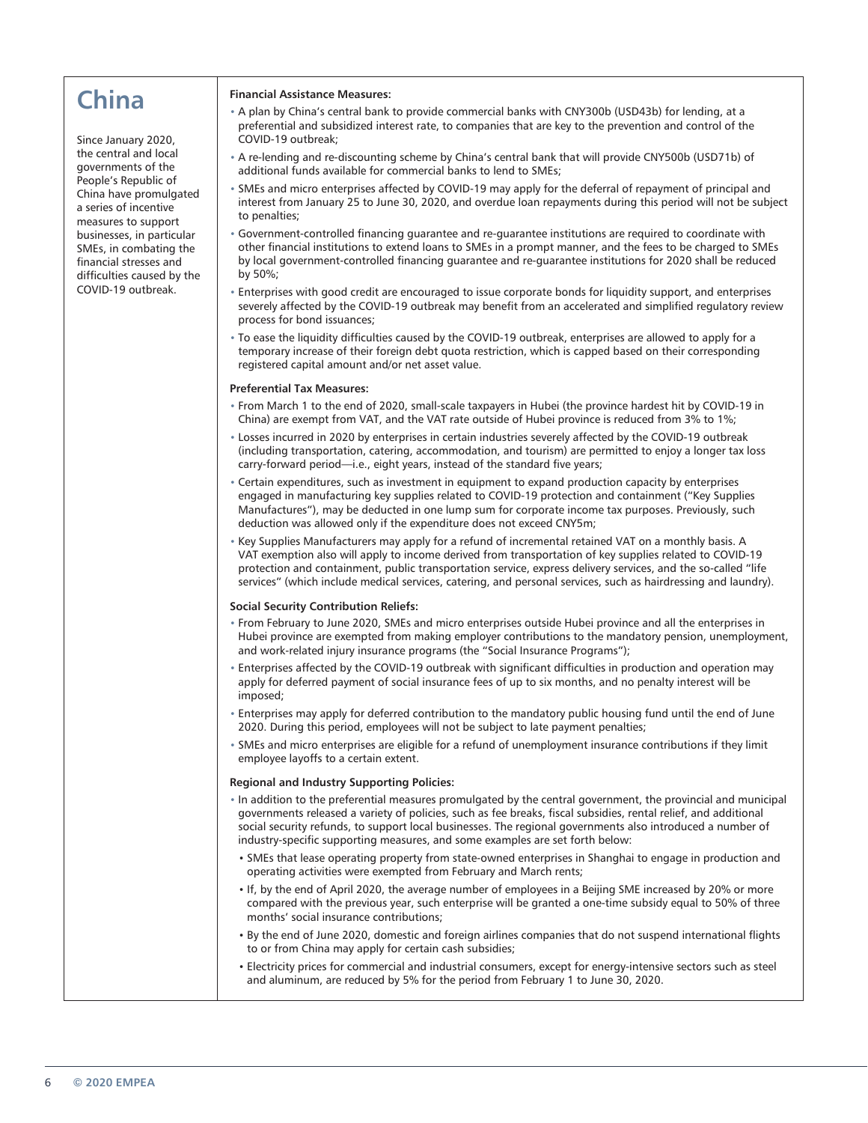# **China**

Since January 2020, the central and local governments of the People's Republic of China have promulgated a series of incentive measures to support businesses, in particular SMEs, in combating the financial stresses and difficulties caused by the COVID-19 outbreak.

#### **Financial Assistance Measures:**

- A plan by China's central bank to provide commercial banks with CNY300b (USD43b) for lending, at a preferential and subsidized interest rate, to companies that are key to the prevention and control of the COVID-19 outbreak;
- A re-lending and re-discounting scheme by China's central bank that will provide CNY500b (USD71b) of additional funds available for commercial banks to lend to SMEs;
- SMEs and micro enterprises affected by COVID-19 may apply for the deferral of repayment of principal and interest from January 25 to June 30, 2020, and overdue loan repayments during this period will not be subject to penalties;
- Government-controlled financing guarantee and re-guarantee institutions are required to coordinate with other financial institutions to extend loans to SMEs in a prompt manner, and the fees to be charged to SMEs by local government-controlled financing guarantee and re-guarantee institutions for 2020 shall be reduced by 50%;
- Enterprises with good credit are encouraged to issue corporate bonds for liquidity support, and enterprises severely affected by the COVID-19 outbreak may benefit from an accelerated and simplified regulatory review process for bond issuances;
- To ease the liquidity difficulties caused by the COVID-19 outbreak, enterprises are allowed to apply for a temporary increase of their foreign debt quota restriction, which is capped based on their corresponding registered capital amount and/or net asset value.

#### **Preferential Tax Measures:**

- From March 1 to the end of 2020, small-scale taxpayers in Hubei (the province hardest hit by COVID-19 in China) are exempt from VAT, and the VAT rate outside of Hubei province is reduced from 3% to 1%;
- Losses incurred in 2020 by enterprises in certain industries severely affected by the COVID-19 outbreak (including transportation, catering, accommodation, and tourism) are permitted to enjoy a longer tax loss carry-forward period—i.e., eight years, instead of the standard five years;
- Certain expenditures, such as investment in equipment to expand production capacity by enterprises engaged in manufacturing key supplies related to COVID-19 protection and containment ("Key Supplies Manufactures"), may be deducted in one lump sum for corporate income tax purposes. Previously, such deduction was allowed only if the expenditure does not exceed CNY5m;
- Key Supplies Manufacturers may apply for a refund of incremental retained VAT on a monthly basis. A VAT exemption also will apply to income derived from transportation of key supplies related to COVID-19 protection and containment, public transportation service, express delivery services, and the so-called "life services" (which include medical services, catering, and personal services, such as hairdressing and laundry).

#### **Social Security Contribution Reliefs:**

- From February to June 2020, SMEs and micro enterprises outside Hubei province and all the enterprises in Hubei province are exempted from making employer contributions to the mandatory pension, unemployment, and work-related injury insurance programs (the "Social Insurance Programs");
- Enterprises affected by the COVID-19 outbreak with significant difficulties in production and operation may apply for deferred payment of social insurance fees of up to six months, and no penalty interest will be imposed;
- Enterprises may apply for deferred contribution to the mandatory public housing fund until the end of June 2020. During this period, employees will not be subject to late payment penalties;
- SMEs and micro enterprises are eligible for a refund of unemployment insurance contributions if they limit employee layoffs to a certain extent.

#### **Regional and Industry Supporting Policies:**

- In addition to the preferential measures promulgated by the central government, the provincial and municipal governments released a variety of policies, such as fee breaks, fiscal subsidies, rental relief, and additional social security refunds, to support local businesses. The regional governments also introduced a number of industry-specific supporting measures, and some examples are set forth below:
- SMEs that lease operating property from state-owned enterprises in Shanghai to engage in production and operating activities were exempted from February and March rents;
- If, by the end of April 2020, the average number of employees in a Beijing SME increased by 20% or more compared with the previous year, such enterprise will be granted a one-time subsidy equal to 50% of three months' social insurance contributions;
- By the end of June 2020, domestic and foreign airlines companies that do not suspend international flights to or from China may apply for certain cash subsidies;
- Electricity prices for commercial and industrial consumers, except for energy-intensive sectors such as steel and aluminum, are reduced by 5% for the period from February 1 to June 30, 2020.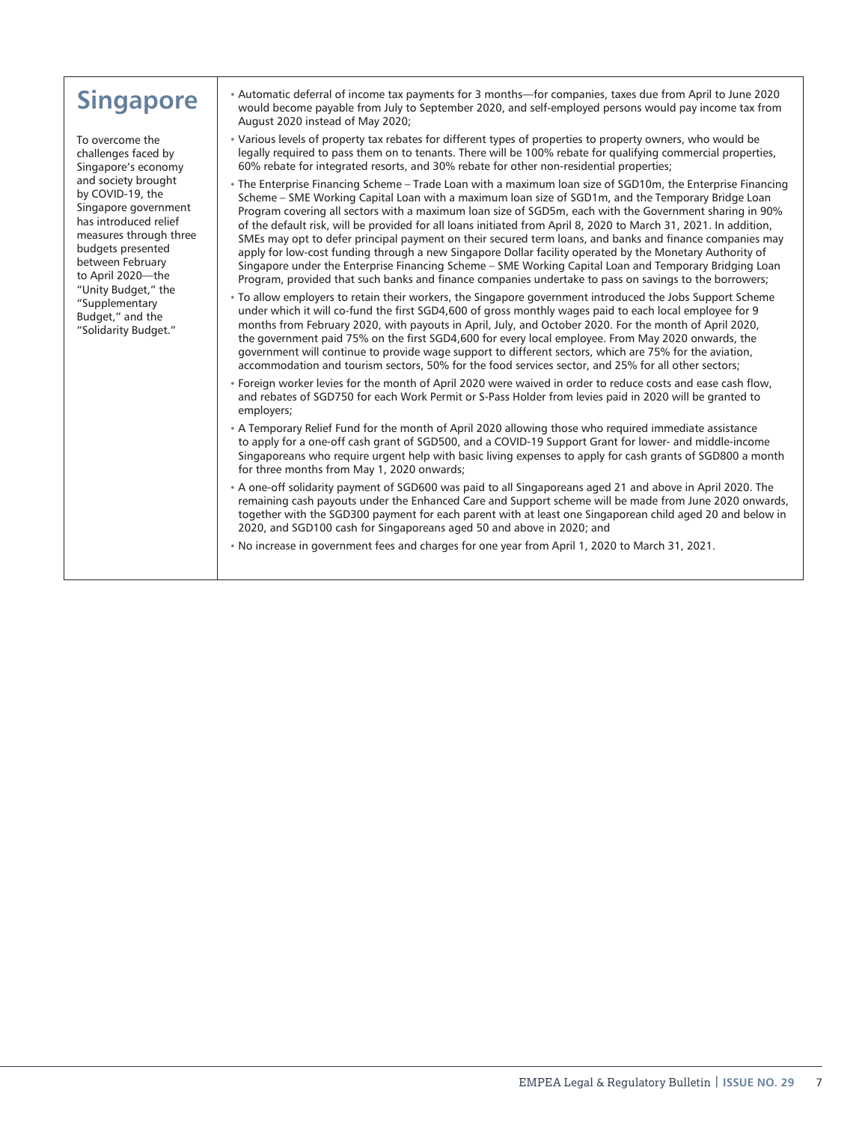# **Singapore**

To overcome the challenges faced by Singapore's economy and society brought by COVID-19, the Singapore government has introduced relief measures through three budgets presented between February to April 2020—the "Unity Budget," the "Supplementary Budget," and the "Solidarity Budget."

- Automatic deferral of income tax payments for 3 months—for companies, taxes due from April to June 2020 would become payable from July to September 2020, and self-employed persons would pay income tax from August 2020 instead of May 2020;
- Various levels of property tax rebates for different types of properties to property owners, who would be legally required to pass them on to tenants. There will be 100% rebate for qualifying commercial properties, 60% rebate for integrated resorts, and 30% rebate for other non-residential properties;
- The Enterprise Financing Scheme Trade Loan with a maximum loan size of SGD10m, the Enterprise Financing Scheme – SME Working Capital Loan with a maximum loan size of SGD1m, and the Temporary Bridge Loan Program covering all sectors with a maximum loan size of SGD5m, each with the Government sharing in 90% of the default risk, will be provided for all loans initiated from April 8, 2020 to March 31, 2021. In addition, SMEs may opt to defer principal payment on their secured term loans, and banks and finance companies may apply for low-cost funding through a new Singapore Dollar facility operated by the Monetary Authority of Singapore under the Enterprise Financing Scheme – SME Working Capital Loan and Temporary Bridging Loan Program, provided that such banks and finance companies undertake to pass on savings to the borrowers;
- To allow employers to retain their workers, the Singapore government introduced the Jobs Support Scheme under which it will co-fund the first SGD4,600 of gross monthly wages paid to each local employee for 9 months from February 2020, with payouts in April, July, and October 2020. For the month of April 2020, the government paid 75% on the first SGD4,600 for every local employee. From May 2020 onwards, the government will continue to provide wage support to different sectors, which are 75% for the aviation, accommodation and tourism sectors, 50% for the food services sector, and 25% for all other sectors;
- Foreign worker levies for the month of April 2020 were waived in order to reduce costs and ease cash flow, and rebates of SGD750 for each Work Permit or S-Pass Holder from levies paid in 2020 will be granted to employers;
- A Temporary Relief Fund for the month of April 2020 allowing those who required immediate assistance to apply for a one-off cash grant of SGD500, and a COVID-19 Support Grant for lower- and middle-income Singaporeans who require urgent help with basic living expenses to apply for cash grants of SGD800 a month for three months from May 1, 2020 onwards;
- A one-off solidarity payment of SGD600 was paid to all Singaporeans aged 21 and above in April 2020. The remaining cash payouts under the Enhanced Care and Support scheme will be made from June 2020 onwards, together with the SGD300 payment for each parent with at least one Singaporean child aged 20 and below in 2020, and SGD100 cash for Singaporeans aged 50 and above in 2020; and
- No increase in government fees and charges for one year from April 1, 2020 to March 31, 2021.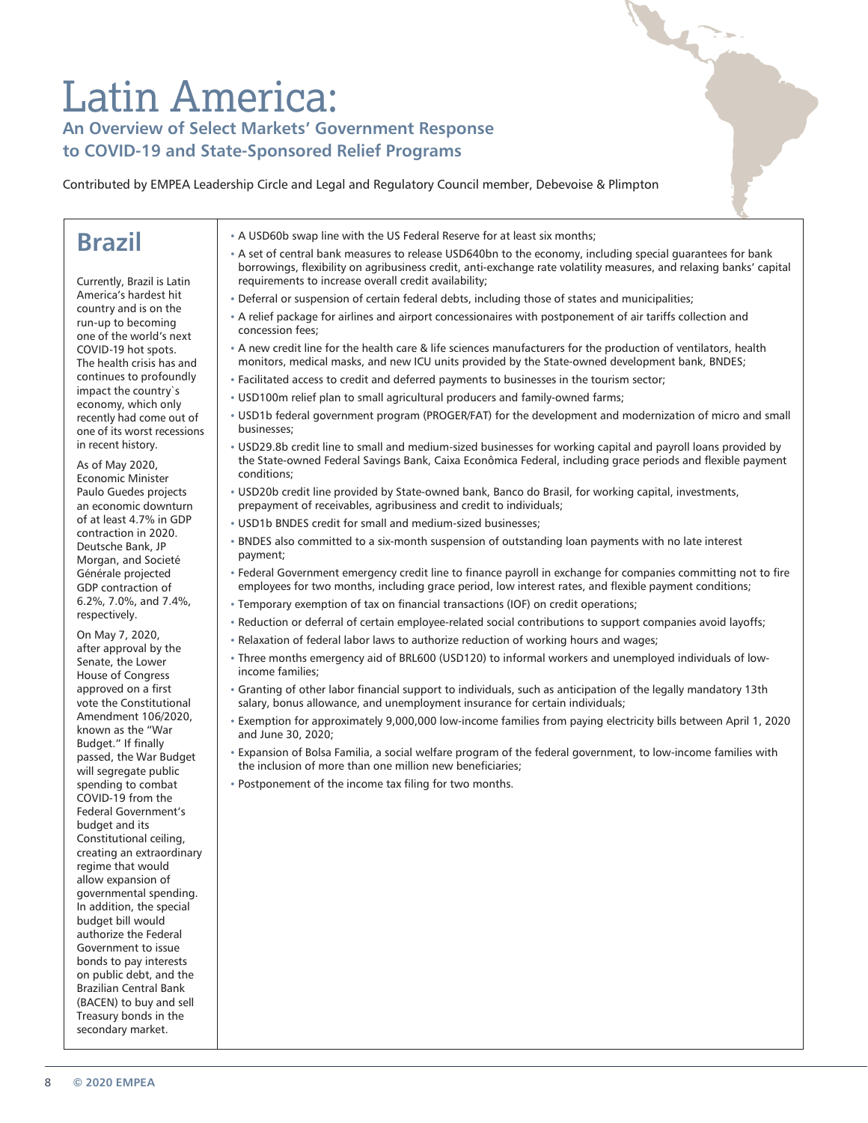# Latin America:

### **An Overview of Select Markets' Government Response to COVID-19 and State-Sponsored Relief Programs**

Contributed by EMPEA Leadership Circle and Legal and Regulatory Council member, Debevoise & Plimpton

## **Brazil**

Currently, Brazil is Latin America's hardest hit country and is on the run-up to becoming one of the world's next COVID-19 hot spots. The health crisis has and continues to profoundly impact the country`s economy, which only recently had come out of one of its worst recessions in recent history.

As of May 2020, Economic Minister Paulo Guedes projects an economic downturn of at least 4.7% in GDP contraction in 2020. Deutsche Bank, JP Morgan, and Societé Générale projected GDP contraction of 6.2%, 7.0%, and 7.4%, respectively.

On May 7, 2020, after approval by the Senate, the Lower House of Congress approved on a first vote the Constitutional Amendment 106/2020, known as the "War Budget." If finally passed, the War Budget will segregate public spending to combat COVID-19 from the Federal Government's budget and its Constitutional ceiling, creating an extraordinary regime that would allow expansion of governmental spending. In addition, the special budget bill would authorize the Federal Government to issue bonds to pay interests on public debt, and the Brazilian Central Bank (BACEN) to buy and sell Treasury bonds in the secondary market.

- A USD60b swap line with the US Federal Reserve for at least six months;
- A set of central bank measures to release USD640bn to the economy, including special guarantees for bank borrowings, flexibility on agribusiness credit, anti-exchange rate volatility measures, and relaxing banks' capital requirements to increase overall credit availability;

**ALC** 

- Deferral or suspension of certain federal debts, including those of states and municipalities;
- A relief package for airlines and airport concessionaires with postponement of air tariffs collection and concession fees;
- A new credit line for the health care & life sciences manufacturers for the production of ventilators, health monitors, medical masks, and new ICU units provided by the State-owned development bank, BNDES;
- Facilitated access to credit and deferred payments to businesses in the tourism sector;
- USD100m relief plan to small agricultural producers and family-owned farms;
- USD1b federal government program (PROGER/FAT) for the development and modernization of micro and small businesses;
- USD29.8b credit line to small and medium-sized businesses for working capital and payroll loans provided by the State-owned Federal Savings Bank, Caixa Econômica Federal, including grace periods and flexible payment conditions;
- USD20b credit line provided by State-owned bank, Banco do Brasil, for working capital, investments, prepayment of receivables, agribusiness and credit to individuals;
- USD1b BNDES credit for small and medium-sized businesses;
- BNDES also committed to a six-month suspension of outstanding loan payments with no late interest payment;
- Federal Government emergency credit line to finance payroll in exchange for companies committing not to fire employees for two months, including grace period, low interest rates, and flexible payment conditions;
- Temporary exemption of tax on financial transactions (IOF) on credit operations;
- Reduction or deferral of certain employee-related social contributions to support companies avoid layoffs;
- Relaxation of federal labor laws to authorize reduction of working hours and wages;
- Three months emergency aid of BRL600 (USD120) to informal workers and unemployed individuals of lowincome families;
- Granting of other labor financial support to individuals, such as anticipation of the legally mandatory 13th salary, bonus allowance, and unemployment insurance for certain individuals;
- Exemption for approximately 9,000,000 low-income families from paying electricity bills between April 1, 2020 and June 30, 2020;
- Expansion of Bolsa Familia, a social welfare program of the federal government, to low-income families with the inclusion of more than one million new beneficiaries;
- Postponement of the income tax filing for two months.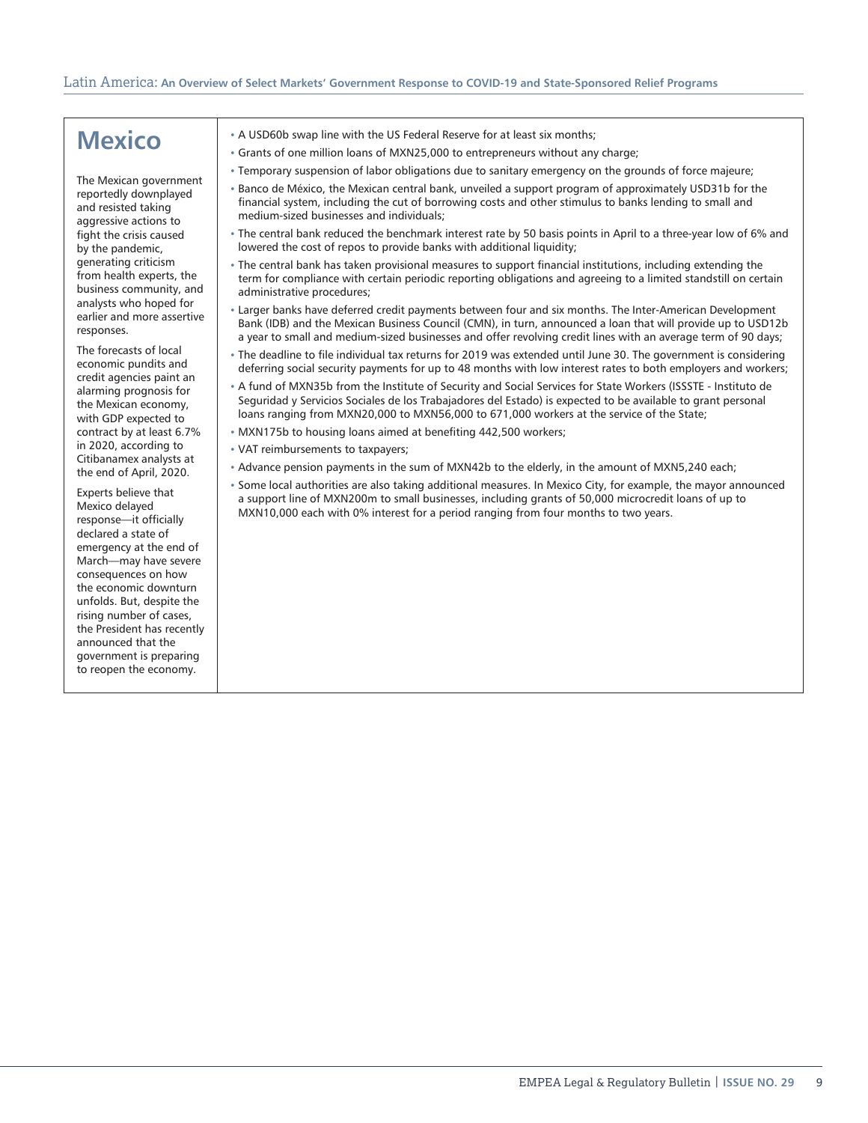### **Mexico**

The Mexican government reportedly downplayed and resisted taking aggressive actions to fight the crisis caused by the pandemic, generating criticism from health experts, the business community, and analysts who hoped for earlier and more assertive responses.

The forecasts of local economic pundits and credit agencies paint an alarming prognosis for the Mexican economy, with GDP expected to contract by at least 6.7% in 2020, according to Citibanamex analysts at the end of April, 2020.

Experts believe that Mexico delayed response—it officially declared a state of emergency at the end of March—may have severe consequences on how the economic downturn unfolds. But, despite the rising number of cases, the President has recently announced that the government is preparing to reopen the economy.

- A USD60b swap line with the US Federal Reserve for at least six months;
- Grants of one million loans of MXN25,000 to entrepreneurs without any charge;
- Temporary suspension of labor obligations due to sanitary emergency on the grounds of force majeure;
- Banco de México, the Mexican central bank, unveiled a support program of approximately USD31b for the financial system, including the cut of borrowing costs and other stimulus to banks lending to small and medium-sized businesses and individuals;
- The central bank reduced the benchmark interest rate by 50 basis points in April to a three-year low of 6% and lowered the cost of repos to provide banks with additional liquidity;
- The central bank has taken provisional measures to support financial institutions, including extending the term for compliance with certain periodic reporting obligations and agreeing to a limited standstill on certain administrative procedures;
- Larger banks have deferred credit payments between four and six months. The Inter-American Development Bank (IDB) and the Mexican Business Council (CMN), in turn, announced a loan that will provide up to USD12b a year to small and medium-sized businesses and offer revolving credit lines with an average term of 90 days;
- The deadline to file individual tax returns for 2019 was extended until June 30. The government is considering deferring social security payments for up to 48 months with low interest rates to both employers and workers;
- A fund of MXN35b from the Institute of Security and Social Services for State Workers (ISSSTE Instituto de Seguridad y Servicios Sociales de los Trabajadores del Estado) is expected to be available to grant personal loans ranging from MXN20,000 to MXN56,000 to 671,000 workers at the service of the State;
- MXN175b to housing loans aimed at benefiting 442,500 workers;
- VAT reimbursements to taxpayers;
- Advance pension payments in the sum of MXN42b to the elderly, in the amount of MXN5,240 each;
- Some local authorities are also taking additional measures. In Mexico City, for example, the mayor announced a support line of MXN200m to small businesses, including grants of 50,000 microcredit loans of up to MXN10,000 each with 0% interest for a period ranging from four months to two years.